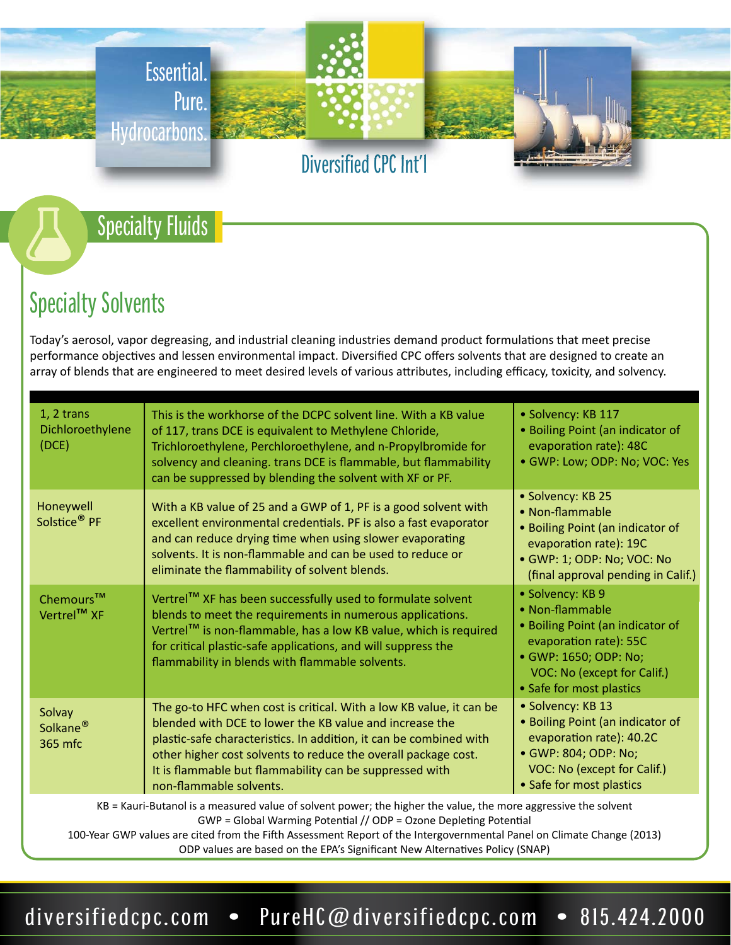

### Specialty Fluids

# Specialty Solvents

Today's aerosol, vapor degreasing, and industrial cleaning industries demand product formulations that meet precise performance objectives and lessen environmental impact. Diversified CPC offers solvents that are designed to create an array of blends that are engineered to meet desired levels of various attributes, including efficacy, toxicity, and solvency.

| 1, 2 trans<br>Dichloroethylene<br>(DCE)                                                                        | This is the workhorse of the DCPC solvent line. With a KB value<br>of 117, trans DCE is equivalent to Methylene Chloride,<br>Trichloroethylene, Perchloroethylene, and n-Propylbromide for<br>solvency and cleaning. trans DCE is flammable, but flammability<br>can be suppressed by blending the solvent with XF or PF.                                    | · Solvency: KB 117<br>• Boiling Point (an indicator of<br>evaporation rate): 48C<br>· GWP: Low; ODP: No; VOC: Yes                                                                     |  |  |
|----------------------------------------------------------------------------------------------------------------|--------------------------------------------------------------------------------------------------------------------------------------------------------------------------------------------------------------------------------------------------------------------------------------------------------------------------------------------------------------|---------------------------------------------------------------------------------------------------------------------------------------------------------------------------------------|--|--|
| Honeywell<br>Solstice <sup>®</sup> PF                                                                          | With a KB value of 25 and a GWP of 1, PF is a good solvent with<br>excellent environmental credentials. PF is also a fast evaporator<br>and can reduce drying time when using slower evaporating<br>solvents. It is non-flammable and can be used to reduce or<br>eliminate the flammability of solvent blends.                                              | · Solvency: KB 25<br>• Non-flammable<br>• Boiling Point (an indicator of<br>evaporation rate): 19C<br>· GWP: 1; ODP: No; VOC: No<br>(final approval pending in Calif.)                |  |  |
| Chemours™<br>Vertrel™ XF                                                                                       | Vertrel™ XF has been successfully used to formulate solvent<br>blends to meet the requirements in numerous applications.<br>Vertrel™ is non-flammable, has a low KB value, which is required<br>for critical plastic-safe applications, and will suppress the<br>flammability in blends with flammable solvents.                                             | · Solvency: KB 9<br>• Non-flammable<br>• Boiling Point (an indicator of<br>evaporation rate): 55C<br>• GWP: 1650; ODP: No;<br>VOC: No (except for Calif.)<br>• Safe for most plastics |  |  |
| Solvay<br>Solkane <sup>®</sup><br>365 mfc                                                                      | The go-to HFC when cost is critical. With a low KB value, it can be<br>blended with DCE to lower the KB value and increase the<br>plastic-safe characteristics. In addition, it can be combined with<br>other higher cost solvents to reduce the overall package cost.<br>It is flammable but flammability can be suppressed with<br>non-flammable solvents. | · Solvency: KB 13<br>• Boiling Point (an indicator of<br>evaporation rate): 40.2C<br>• GWP: 804; ODP: No;<br>VOC: No (except for Calif.)<br>• Safe for most plastics                  |  |  |
| KB = Kauri-Butanol is a measured value of solvent power; the higher the value, the more aggressive the solvent |                                                                                                                                                                                                                                                                                                                                                              |                                                                                                                                                                                       |  |  |

GWP = Global Warming Potential // ODP = Ozone Depleting Potential

100-Year GWP values are cited from the Fifth Assessment Report of the Intergovernmental Panel on Climate Change (2013) ODP values are based on the EPA's Significant New Alternatives Policy (SNAP)

diversifiedcpc.com • PureHC@diversifiedcpc.com • 815.424.2000